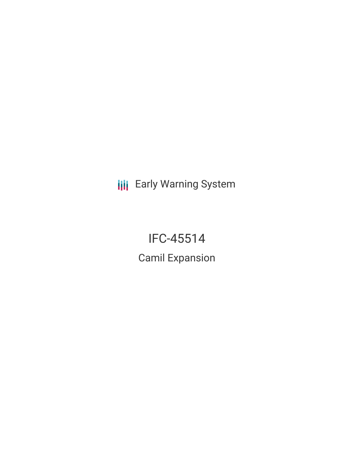**III** Early Warning System

IFC-45514 Camil Expansion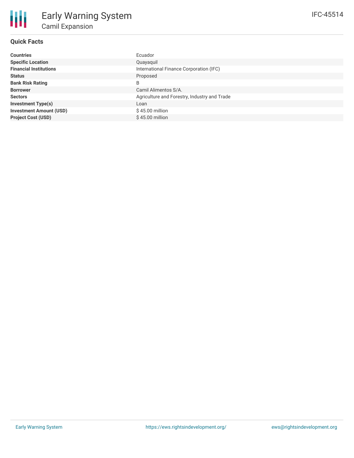# **Quick Facts**

| <b>Countries</b>               | Ecuador                                      |
|--------------------------------|----------------------------------------------|
| <b>Specific Location</b>       | Quayaquil                                    |
| <b>Financial Institutions</b>  | International Finance Corporation (IFC)      |
| <b>Status</b>                  | Proposed                                     |
| <b>Bank Risk Rating</b>        | B                                            |
| <b>Borrower</b>                | Camil Alimentos S/A.                         |
| <b>Sectors</b>                 | Agriculture and Forestry, Industry and Trade |
| <b>Investment Type(s)</b>      | Loan                                         |
| <b>Investment Amount (USD)</b> | $$45.00$ million                             |
| <b>Project Cost (USD)</b>      | $$45.00$ million                             |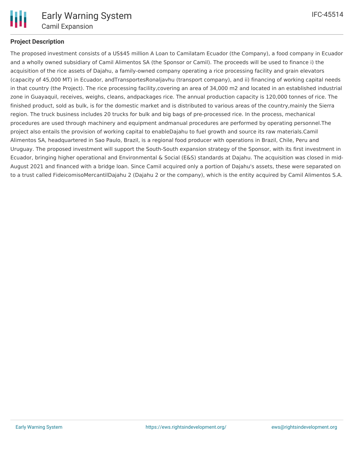

## **Project Description**

The proposed investment consists of a US\$45 million A Loan to Camilatam Ecuador (the Company), a food company in Ecuador and a wholly owned subsidiary of Camil Alimentos SA (the Sponsor or Camil). The proceeds will be used to finance i) the acquisition of the rice assets of Dajahu, a family-owned company operating a rice processing facility and grain elevators (capacity of 45,000 MT) in Ecuador, andTransportesRonaljavhu (transport company), and ii) financing of working capital needs in that country (the Project). The rice processing facility,covering an area of 34,000 m2 and located in an established industrial zone in Guayaquil, receives, weighs, cleans, andpackages rice. The annual production capacity is 120,000 tonnes of rice. The finished product, sold as bulk, is for the domestic market and is distributed to various areas of the country,mainly the Sierra region. The truck business includes 20 trucks for bulk and big bags of pre-processed rice. In the process, mechanical procedures are used through machinery and equipment andmanual procedures are performed by operating personnel.The project also entails the provision of working capital to enableDajahu to fuel growth and source its raw materials.Camil Alimentos SA, headquartered in Sao Paulo, Brazil, is a regional food producer with operations in Brazil, Chile, Peru and Uruguay. The proposed investment will support the South-South expansion strategy of the Sponsor, with its first investment in Ecuador, bringing higher operational and Environmental & Social (E&S) standards at Dajahu. The acquisition was closed in mid-August 2021 and financed with a bridge loan. Since Camil acquired only a portion of Dajahu's assets, these were separated on to a trust called FideicomisoMercantilDajahu 2 (Dajahu 2 or the company), which is the entity acquired by Camil Alimentos S.A.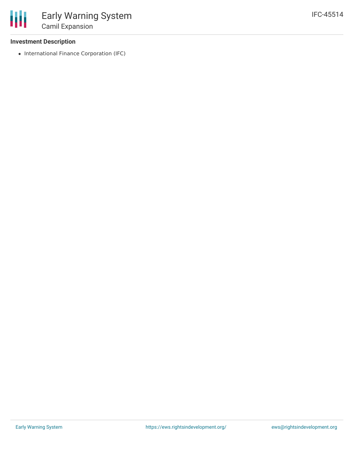### **Investment Description**

• International Finance Corporation (IFC)